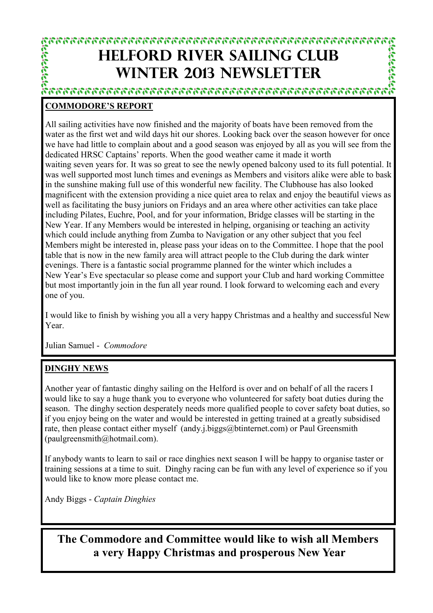# **HELFORD RIVER SAILING CLUB WINTER 2013 NEWSLETTER**

ห้าวารเวราการกรรมรายวางการกรรมรายวามการกรรมรายวางการ

المؤامرات التواجيات

#### **COMMODORE'S REPORT**

All sailing activities have now finished and the majority of boats have been removed from the water as the first wet and wild days hit our shores. Looking back over the season however for once we have had little to complain about and a good season was enjoyed by all as you will see from the dedicated HRSC Captains' reports. When the good weather came it made it worth waiting seven years for. It was so great to see the newly opened balcony used to its full potential. It was well supported most lunch times and evenings as Members and visitors alike were able to bask in the sunshine making full use of this wonderful new facility. The Clubhouse has also looked magnificent with the extension providing a nice quiet area to relax and enjoy the beautiful views as well as facilitating the busy juniors on Fridays and an area where other activities can take place including Pilates, Euchre, Pool, and for your information, Bridge classes will be starting in the New Year. If any Members would be interested in helping, organising or teaching an activity which could include anything from Zumba to Navigation or any other subject that you feel Members might be interested in, please pass your ideas on to the Committee. I hope that the pool table that is now in the new family area will attract people to the Club during the dark winter evenings. There is a fantastic social programme planned for the winter which includes a New Year's Eve spectacular so please come and support your Club and hard working Committee but most importantly join in the fun all year round. I look forward to welcoming each and every one of you.

I would like to finish by wishing you all a very happy Christmas and a healthy and successful New Year.

Julian Samuel - *Commodore*

#### **DINGHY NEWS**

Another year of fantastic dinghy sailing on the Helford is over and on behalf of all the racers I would like to say a huge thank you to everyone who volunteered for safety boat duties during the season. The dinghy section desperately needs more qualified people to cover safety boat duties, so if you enjoy being on the water and would be interested in getting trained at a greatly subsidised rate, then please contact either myself (andy.j.biggs@btinternet.com) or Paul Greensmith (paulgreensmith@hotmail.com).

If anybody wants to learn to sail or race dinghies next season I will be happy to organise taster or training sessions at a time to suit. Dinghy racing can be fun with any level of experience so if you would like to know more please contact me.

Andy Biggs - *Captain Dinghies*

**The Commodore and Committee would like to wish all Members a very Happy Christmas and prosperous New Year**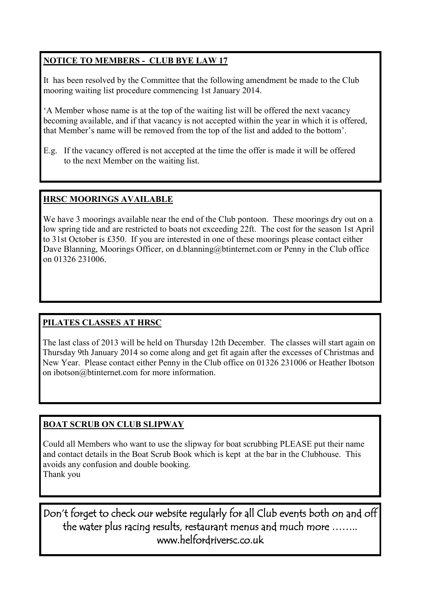#### **NOTICE TO MEMBERS - CLUB BYE LAW 17**

It has been resolved by the Committee that the following amendment be made to the Club mooring waiting list procedure commencing 1st January 2014.

'A Member whose name is at the top of the waiting list will be offered the next vacancy becoming available, and if that vacancy is not accepted within the year in which it is offered, that Member's name will be removed from the top of the list and added to the bottom'.

E.g. If the vacancy offered is not accepted at the time the offer is made it will be offered to the next Member on the waiting list.

#### **HRSC MOORINGS AVAILABLE**

We have 3 moorings available near the end of the Club pontoon. These moorings dry out on a low spring tide and are restricted to boats not exceeding 22ft. The cost for the season 1st April to 31st October is £350. If you are interested in one of these moorings please contact either Dave Blanning, Moorings Officer, on d.blanning@btinternet.com or Penny in the Club office on 01326 231006.

#### **PILATES CLASSES AT HRSC**

The last class of 2013 will be held on Thursday 12th December. The classes will start again on Thursday 9th January 2014 so come along and get fit again after the excesses of Christmas and New Year. Please contact either Penny in the Club office on 01326 231006 or Heather Ibotson on ibotson@btinternet.com for more information.

#### **BOAT SCRUB ON CLUB SLIPWAY**

Could all Members who want to use the slipway for boat scrubbing PLEASE put their name and contact details in the Boat Scrub Book which is kept at the bar in the Clubhouse. This avoids any confusion and double booking. Thank you

Don't forget to check our website regularly for all Club events both on and off the water plus racing results, restaurant menus and much more …….. www.helfordriversc.co.uk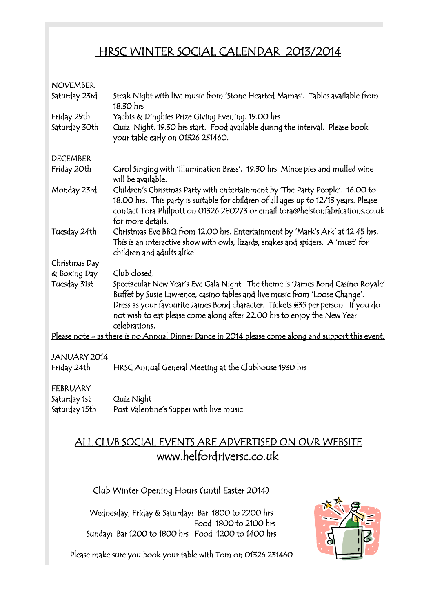## HRSC WINTER SOCIAL CALENDAR 2013/2014

#### NOVEMBER

| Saturday 23rd                                                                                      | Steak Night with live music from 'Stone Hearted Mamas'.  Tables available from<br>18.30 hrs                                                                                                                                                                                 |  |  |  |
|----------------------------------------------------------------------------------------------------|-----------------------------------------------------------------------------------------------------------------------------------------------------------------------------------------------------------------------------------------------------------------------------|--|--|--|
| Friday 29th                                                                                        | Yachts & Dinghies Prize Giving Evening. 19.00 hrs                                                                                                                                                                                                                           |  |  |  |
| Saturday 30th                                                                                      | Quiz Night. 19.30 hrs start. Food available during the interval. Please book<br>your table early on 01326 231460.                                                                                                                                                           |  |  |  |
| <b>DECEMBER</b>                                                                                    |                                                                                                                                                                                                                                                                             |  |  |  |
| Friday 20th                                                                                        | Carol Singing with 'Illumination Brass'. 19.30 hrs. Mince pies and mulled wine<br>will be available.                                                                                                                                                                        |  |  |  |
| Monday 23rd                                                                                        | Children's Christmas Party with entertainment by 'The Party People'. 16.00 to<br>18.00 hrs. This party is suitable for children of all ages up to 12/13 years. Please<br>contact Tora Philpott on 01326 280273 or email tora@helstonfabrications.co.uk<br>for more details. |  |  |  |
| Tuesday 24th                                                                                       | Christmas Eve BBQ from 12.00 hrs. Entertainment by 'Mark's Ark' at 12.45 hrs.<br>This is an interactive show with owls, lizards, snakes and spiders. A 'must' for<br>children and adults alike!                                                                             |  |  |  |
| Christmas Day                                                                                      |                                                                                                                                                                                                                                                                             |  |  |  |
| & Boxing Day                                                                                       | Club closed.                                                                                                                                                                                                                                                                |  |  |  |
| Tuesday 31st                                                                                       | Spectacular New Year's Eve Gala Night. The theme is 'James Bond Casino Royale'<br>Buffet by Susie Lawrence, casino tables and live music from 'Loose Change'.                                                                                                               |  |  |  |
|                                                                                                    | Dress as your favourite James Bond character. Tickets £35 per person. If you do<br>not wish to eat please come along after 22.00 hrs to enjoy the New Year<br>celebrations.                                                                                                 |  |  |  |
| Please note - as there is no Annual Dinner Dance in 2014 please come along and support this event. |                                                                                                                                                                                                                                                                             |  |  |  |
|                                                                                                    |                                                                                                                                                                                                                                                                             |  |  |  |

#### JANUARY 2014

Friday 24th HRSC Annual General Meeting at the Clubhouse 1930 hrs

#### FEBRUARY

| Saturday 1st  | Quiz Night                              |
|---------------|-----------------------------------------|
| Saturday 15th | Post Valentine's Supper with live music |

# ALL CLUB SOCIAL EVENTS ARE ADVERTISED ON OUR WEBSITE www.helfordriversc.co.uk

#### Club Winter Opening Hours (until Easter 2014)

Wednesday, Friday & Saturday: Bar 1800 to 2200 hrs Food 1800 to 2100 hrs Sunday: Bar 1200 to 1800 hrs Food 1200 to 1400 hrs



Please make sure you book your table with Tom on 01326 231460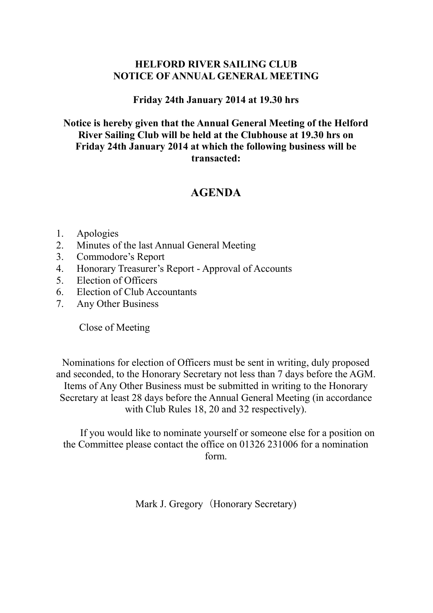## **HELFORD RIVER SAILING CLUB NOTICE OF ANNUAL GENERAL MEETING**

#### **Friday 24th January 2014 at 19.30 hrs**

#### **Notice is hereby given that the Annual General Meeting of the Helford River Sailing Club will be held at the Clubhouse at 19.30 hrs on Friday 24th January 2014 at which the following business will be transacted:**

## **AGENDA**

- 1. Apologies
- 2. Minutes of the last Annual General Meeting
- 3. Commodore's Report
- 4. Honorary Treasurer's Report Approval of Accounts
- 5. Election of Officers
- 6. Election of Club Accountants
- 7. Any Other Business

Close of Meeting

Nominations for election of Officers must be sent in writing, duly proposed and seconded, to the Honorary Secretary not less than 7 days before the AGM. Items of Any Other Business must be submitted in writing to the Honorary Secretary at least 28 days before the Annual General Meeting (in accordance with Club Rules 18, 20 and 32 respectively).

If you would like to nominate yourself or someone else for a position on the Committee please contact the office on 01326 231006 for a nomination form.

Mark J. Gregory (Honorary Secretary)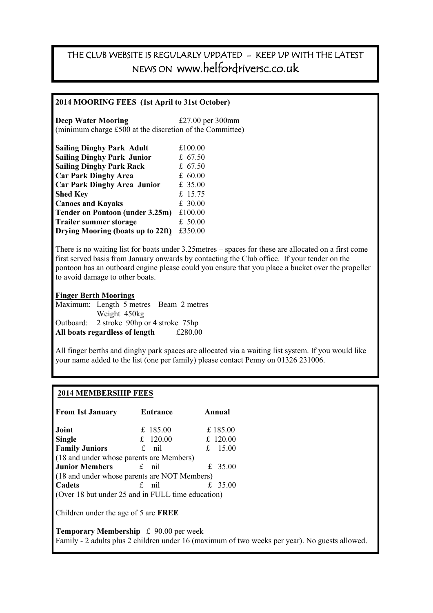## THE CLUB WEBSITE IS REGULARLY UPDATED - KEEP UP WITH THE LATEST NEWS ON www.helfordriversc.co.uk

#### **2014 MOORING FEES (1st April to 31st October)**

**Deep Water Mooring**  $\text{£}27.00 \text{ per } 300 \text{ mm}$ (minimum charge £500 at the discretion of the Committee)

| <b>Sailing Dinghy Park Adult</b>   | £100.00   |
|------------------------------------|-----------|
| <b>Sailing Dinghy Park Junior</b>  | £ $67.50$ |
| <b>Sailing Dinghy Park Rack</b>    | £ $67.50$ |
| <b>Car Park Dinghy Area</b>        | £ 60.00   |
| <b>Car Park Dinghy Area Junior</b> | £ 35.00   |
| <b>Shed Key</b>                    | £ 15.75   |
| <b>Canoes and Kayaks</b>           | £ 30.00   |
| Tender on Pontoon (under 3.25m)    | £100.00   |
| <b>Trailer summer storage</b>      | £ 50.00   |
| Drying Mooring (boats up to 22ft)  | £350.00   |

There is no waiting list for boats under 3.25metres – spaces for these are allocated on a first come first served basis from January onwards by contacting the Club office. If your tender on the pontoon has an outboard engine please could you ensure that you place a bucket over the propeller to avoid damage to other boats.

**Finger Berth Moorings** Maximum: Length 5 metres Beam 2 metres Weight 450kg Outboard: 2 stroke 90hp or 4 stroke 75hp **All boats regardless of length** £280.00

All finger berths and dinghy park spaces are allocated via a waiting list system. If you would like your name added to the list (one per family) please contact Penny on 01326 231006.

#### **2014 MEMBERSHIP FEES**

| <b>From 1st January</b>                           | Entrance   | Annual   |                                                                                                |  |  |
|---------------------------------------------------|------------|----------|------------------------------------------------------------------------------------------------|--|--|
| Joint                                             | £ 185.00   | £ 185.00 |                                                                                                |  |  |
| <b>Single</b>                                     | £ $120.00$ | £ 120.00 |                                                                                                |  |  |
| <b>Family Juniors</b>                             | $f$ nil    | £ 15.00  |                                                                                                |  |  |
| (18 and under whose parents are Members)          |            |          |                                                                                                |  |  |
| <b>Junior Members</b>                             | £ nil      | £ 35.00  |                                                                                                |  |  |
| (18 and under whose parents are NOT Members)      |            |          |                                                                                                |  |  |
| Cadets                                            | £ nil      | £ 35.00  |                                                                                                |  |  |
| (Over 18 but under 25 and in FULL time education) |            |          |                                                                                                |  |  |
| Children under the age of 5 are FREE              |            |          |                                                                                                |  |  |
| <b>Temporary Membership</b> £ 90.00 per week      |            |          | Family - 2 adults plus 2 children under 16 (maximum of two weeks per year). No guests allowed. |  |  |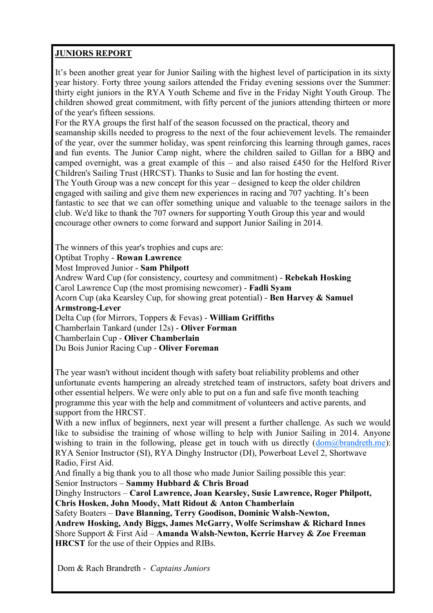#### **JUNIORS REPORT**

It's been another great year for Junior Sailing with the highest level of participation in its sixty year history. Forty three young sailors attended the Friday evening sessions over the Summer: thirty eight juniors in the RYA Youth Scheme and five in the Friday Night Youth Group. The children showed great commitment, with fifty percent of the juniors attending thirteen or more of the year's fifteen sessions.

For the RYA groups the first half of the season focussed on the practical, theory and seamanship skills needed to progress to the next of the four achievement levels. The remainder of the year, over the summer holiday, was spent reinforcing this learning through games, races and fun events. The Junior Camp night, where the children sailed to Gillan for a BBQ and camped overnight, was a great example of this – and also raised £450 for the Helford River Children's Sailing Trust (HRCST). Thanks to Susie and Ian for hosting the event. The Youth Group was a new concept for this year – designed to keep the older children engaged with sailing and give them new experiences in racing and 707 yachting. It's been fantastic to see that we can offer something unique and valuable to the teenage sailors in the club. We'd like to thank the 707 owners for supporting Youth Group this year and would encourage other owners to come forward and support Junior Sailing in 2014.

The winners of this year's trophies and cups are:

Optibat Trophy - **Rowan Lawrence**

Most Improved Junior - **Sam Philpott**

Andrew Ward Cup (for consistency, courtesy and commitment) - **Rebekah Hosking** Carol Lawrence Cup (the most promising newcomer) - **Fadli Syam**

Acorn Cup (aka Kearsley Cup, for showing great potential) - **Ben Harvey & Samuel Armstrong-Lever**

Delta Cup (for Mirrors, Toppers & Fevas) - **William Griffiths** Chamberlain Tankard (under 12s) - **Oliver Forman** Chamberlain Cup - **Oliver Chamberlain** Du Bois Junior Racing Cup - **Oliver Foreman**

The year wasn't without incident though with safety boat reliability problems and other unfortunate events hampering an already stretched team of instructors, safety boat drivers and other essential helpers. We were only able to put on a fun and safe five month teaching programme this year with the help and commitment of volunteers and active parents, and support from the HRCST.

With a new influx of beginners, next year will present a further challenge. As such we would like to subsidise the training of whose willing to help with Junior Sailing in 2014. Anyone wishing to train in the following, please get in touch with us directly  $(dom\omega)$  brandreth.me): RYA Senior Instructor (SI), RYA Dinghy Instructor (DI), Powerboat Level 2, Shortwave Radio, First Aid.

And finally a big thank you to all those who made Junior Sailing possible this year:

Senior Instructors – **Sammy Hubbard & Chris Broad**

Dinghy Instructors – **Carol Lawrence, Joan Kearsley, Susie Lawrence, Roger Philpott, Chris Hosken, John Moody, Matt Ridout & Anton Chamberlain**

Safety Boaters – **Dave Blanning, Terry Goodison, Dominic Walsh-Newton,** 

**Andrew Hosking, Andy Biggs, James McGarry, Wolfe Scrimshaw & Richard Innes** Shore Support & First Aid – **Amanda Walsh-Newton, Kerrie Harvey & Zoe Freeman HRCST** for the use of their Oppies and RIBs.

Dom & Rach Brandreth - *Captains Juniors*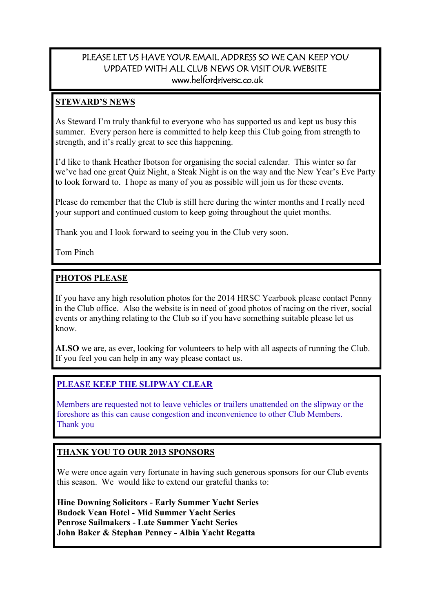#### PLEASE LET US HAVE YOUR EMAIL ADDRESS SO WE CAN KEEP YOU UPDATED WITH ALL CLUB NEWS OR VISIT OUR WEBSITE www.helfordriversc.co.uk

#### **STEWARD'S NEWS**

As Steward I'm truly thankful to everyone who has supported us and kept us busy this summer. Every person here is committed to help keep this Club going from strength to strength, and it's really great to see this happening.

I'd like to thank Heather Ibotson for organising the social calendar. This winter so far we've had one great Quiz Night, a Steak Night is on the way and the New Year's Eve Party to look forward to. I hope as many of you as possible will join us for these events.

Please do remember that the Club is still here during the winter months and I really need your support and continued custom to keep going throughout the quiet months.

Thank you and I look forward to seeing you in the Club very soon.

Tom Pinch

#### **PHOTOS PLEASE**

If you have any high resolution photos for the 2014 HRSC Yearbook please contact Penny in the Club office. Also the website is in need of good photos of racing on the river, social events or anything relating to the Club so if you have something suitable please let us know.

**ALSO** we are, as ever, looking for volunteers to help with all aspects of running the Club. If you feel you can help in any way please contact us.

#### **PLEASE KEEP THE SLIPWAY CLEAR**

Members are requested not to leave vehicles or trailers unattended on the slipway or the foreshore as this can cause congestion and inconvenience to other Club Members. Thank you

#### **THANK YOU TO OUR 2013 SPONSORS**

We were once again very fortunate in having such generous sponsors for our Club events this season. We would like to extend our grateful thanks to:

**Hine Downing Solicitors - Early Summer Yacht Series Budock Vean Hotel - Mid Summer Yacht Series Penrose Sailmakers - Late Summer Yacht Series John Baker & Stephan Penney - Albia Yacht Regatta**